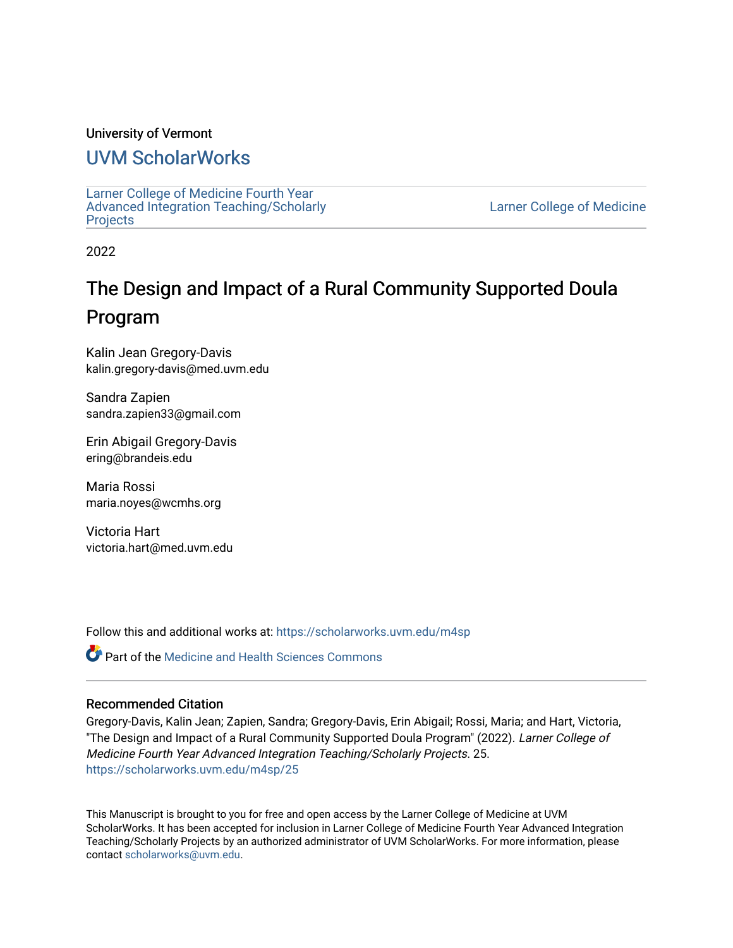# University of Vermont

# [UVM ScholarWorks](https://scholarworks.uvm.edu/)

[Larner College of Medicine Fourth Year](https://scholarworks.uvm.edu/m4sp)  [Advanced Integration Teaching/Scholarly](https://scholarworks.uvm.edu/m4sp)  [Projects](https://scholarworks.uvm.edu/m4sp)

[Larner College of Medicine](https://scholarworks.uvm.edu/com) 

2022

# The Design and Impact of a Rural Community Supported Doula Program

Kalin Jean Gregory-Davis kalin.gregory-davis@med.uvm.edu

Sandra Zapien sandra.zapien33@gmail.com

Erin Abigail Gregory-Davis ering@brandeis.edu

Maria Rossi maria.noyes@wcmhs.org

Victoria Hart victoria.hart@med.uvm.edu

Follow this and additional works at: [https://scholarworks.uvm.edu/m4sp](https://scholarworks.uvm.edu/m4sp?utm_source=scholarworks.uvm.edu%2Fm4sp%2F25&utm_medium=PDF&utm_campaign=PDFCoverPages)

**Part of the Medicine and Health Sciences Commons** 

# Recommended Citation

Gregory-Davis, Kalin Jean; Zapien, Sandra; Gregory-Davis, Erin Abigail; Rossi, Maria; and Hart, Victoria, "The Design and Impact of a Rural Community Supported Doula Program" (2022). Larner College of Medicine Fourth Year Advanced Integration Teaching/Scholarly Projects. 25. [https://scholarworks.uvm.edu/m4sp/25](https://scholarworks.uvm.edu/m4sp/25?utm_source=scholarworks.uvm.edu%2Fm4sp%2F25&utm_medium=PDF&utm_campaign=PDFCoverPages) 

This Manuscript is brought to you for free and open access by the Larner College of Medicine at UVM ScholarWorks. It has been accepted for inclusion in Larner College of Medicine Fourth Year Advanced Integration Teaching/Scholarly Projects by an authorized administrator of UVM ScholarWorks. For more information, please contact [scholarworks@uvm.edu.](mailto:scholarworks@uvm.edu)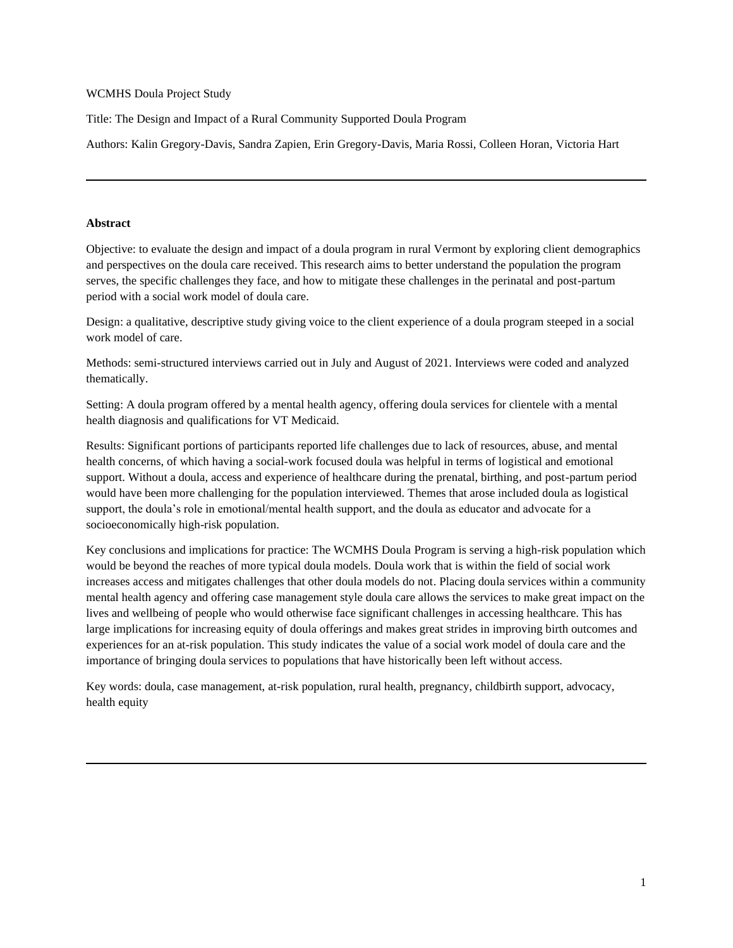# WCMHS Doula Project Study

Title: The Design and Impact of a Rural Community Supported Doula Program

Authors: Kalin Gregory-Davis, Sandra Zapien, Erin Gregory-Davis, Maria Rossi, Colleen Horan, Victoria Hart

# **Abstract**

Objective: to evaluate the design and impact of a doula program in rural Vermont by exploring client demographics and perspectives on the doula care received. This research aims to better understand the population the program serves, the specific challenges they face, and how to mitigate these challenges in the perinatal and post-partum period with a social work model of doula care.

Design: a qualitative, descriptive study giving voice to the client experience of a doula program steeped in a social work model of care.

Methods: semi-structured interviews carried out in July and August of 2021. Interviews were coded and analyzed thematically.

Setting: A doula program offered by a mental health agency, offering doula services for clientele with a mental health diagnosis and qualifications for VT Medicaid.

Results: Significant portions of participants reported life challenges due to lack of resources, abuse, and mental health concerns, of which having a social-work focused doula was helpful in terms of logistical and emotional support. Without a doula, access and experience of healthcare during the prenatal, birthing, and post-partum period would have been more challenging for the population interviewed. Themes that arose included doula as logistical support, the doula's role in emotional/mental health support, and the doula as educator and advocate for a socioeconomically high-risk population.

Key conclusions and implications for practice: The WCMHS Doula Program is serving a high-risk population which would be beyond the reaches of more typical doula models. Doula work that is within the field of social work increases access and mitigates challenges that other doula models do not. Placing doula services within a community mental health agency and offering case management style doula care allows the services to make great impact on the lives and wellbeing of people who would otherwise face significant challenges in accessing healthcare. This has large implications for increasing equity of doula offerings and makes great strides in improving birth outcomes and experiences for an at-risk population. This study indicates the value of a social work model of doula care and the importance of bringing doula services to populations that have historically been left without access.

Key words: doula, case management, at-risk population, rural health, pregnancy, childbirth support, advocacy, health equity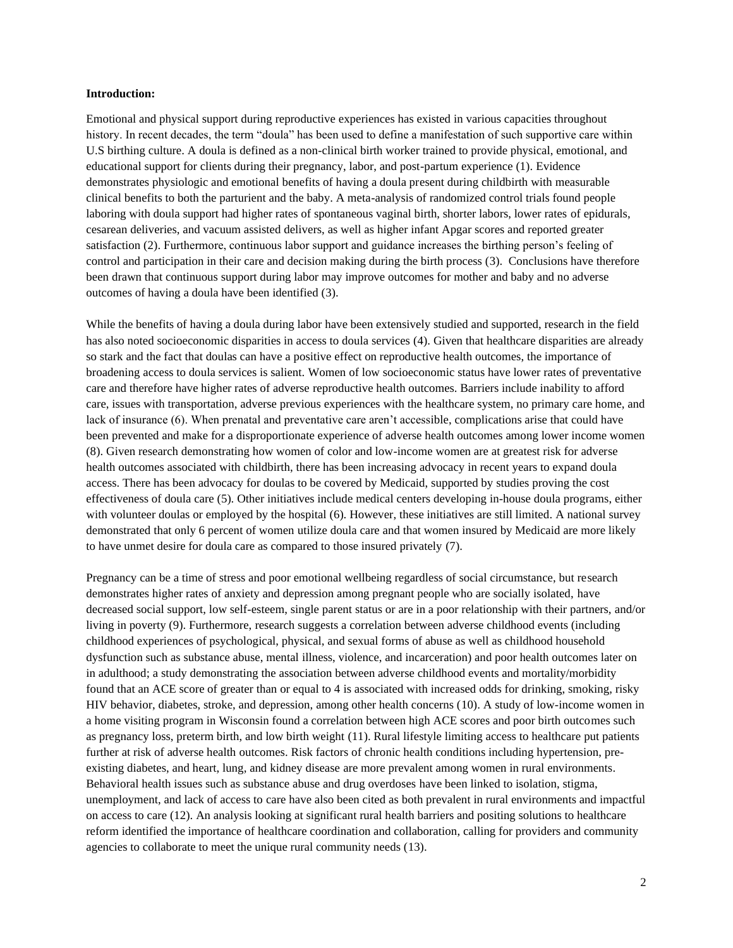#### **Introduction:**

Emotional and physical support during reproductive experiences has existed in various capacities throughout history. In recent decades, the term "doula" has been used to define a manifestation of such supportive care within U.S birthing culture. A doula is defined as a non-clinical birth worker trained to provide physical, emotional, and educational support for clients during their pregnancy, labor, and post-partum experience (1). Evidence demonstrates physiologic and emotional benefits of having a doula present during childbirth with measurable clinical benefits to both the parturient and the baby. A meta-analysis of randomized control trials found people laboring with doula support had higher rates of spontaneous vaginal birth, shorter labors, lower rates of epidurals, cesarean deliveries, and vacuum assisted delivers, as well as higher infant Apgar scores and reported greater satisfaction (2). Furthermore, continuous labor support and guidance increases the birthing person's feeling of control and participation in their care and decision making during the birth process (3). Conclusions have therefore been drawn that continuous support during labor may improve outcomes for mother and baby and no adverse outcomes of having a doula have been identified (3).

While the benefits of having a doula during labor have been extensively studied and supported, research in the field has also noted socioeconomic disparities in access to doula services (4). Given that healthcare disparities are already so stark and the fact that doulas can have a positive effect on reproductive health outcomes, the importance of broadening access to doula services is salient. Women of low socioeconomic status have lower rates of preventative care and therefore have higher rates of adverse reproductive health outcomes. Barriers include inability to afford care, issues with transportation, adverse previous experiences with the healthcare system, no primary care home, and lack of insurance (6). When prenatal and preventative care aren't accessible, complications arise that could have been prevented and make for a disproportionate experience of adverse health outcomes among lower income women (8). Given research demonstrating how women of color and low-income women are at greatest risk for adverse health outcomes associated with childbirth, there has been increasing advocacy in recent years to expand doula access. There has been advocacy for doulas to be covered by Medicaid, supported by studies proving the cost effectiveness of doula care (5). Other initiatives include medical centers developing in-house doula programs, either with volunteer doulas or employed by the hospital (6). However, these initiatives are still limited. A national survey demonstrated that only 6 percent of women utilize doula care and that women insured by Medicaid are more likely to have unmet desire for doula care as compared to those insured privately (7).

Pregnancy can be a time of stress and poor emotional wellbeing regardless of social circumstance, but research demonstrates higher rates of anxiety and depression among pregnant people who are socially isolated, have decreased social support, low self-esteem, single parent status or are in a poor relationship with their partners, and/or living in poverty (9). Furthermore, research suggests a correlation between adverse childhood events (including childhood experiences of psychological, physical, and sexual forms of abuse as well as childhood household dysfunction such as substance abuse, mental illness, violence, and incarceration) and poor health outcomes later on in adulthood; a study demonstrating the association between adverse childhood events and mortality/morbidity found that an ACE score of greater than or equal to 4 is associated with increased odds for drinking, smoking, risky HIV behavior, diabetes, stroke, and depression, among other health concerns (10). A study of low-income women in a home visiting program in Wisconsin found a correlation between high ACE scores and poor birth outcomes such as pregnancy loss, preterm birth, and low birth weight (11). Rural lifestyle limiting access to healthcare put patients further at risk of adverse health outcomes. Risk factors of chronic health conditions including hypertension, preexisting diabetes, and heart, lung, and kidney disease are more prevalent among women in rural environments. Behavioral health issues such as substance abuse and drug overdoses have been linked to isolation, stigma, unemployment, and lack of access to care have also been cited as both prevalent in rural environments and impactful on access to care (12). An analysis looking at significant rural health barriers and positing solutions to healthcare reform identified the importance of healthcare coordination and collaboration, calling for providers and community agencies to collaborate to meet the unique rural community needs (13).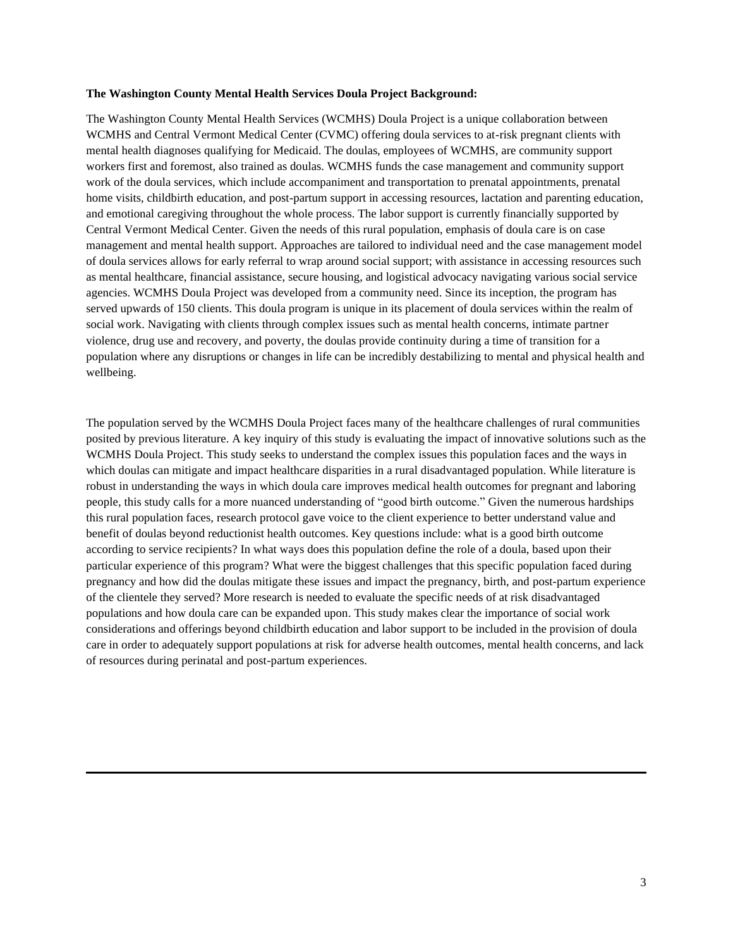#### **The Washington County Mental Health Services Doula Project Background:**

The Washington County Mental Health Services (WCMHS) Doula Project is a unique collaboration between WCMHS and Central Vermont Medical Center (CVMC) offering doula services to at-risk pregnant clients with mental health diagnoses qualifying for Medicaid. The doulas, employees of WCMHS, are community support workers first and foremost, also trained as doulas. WCMHS funds the case management and community support work of the doula services, which include accompaniment and transportation to prenatal appointments, prenatal home visits, childbirth education, and post-partum support in accessing resources, lactation and parenting education, and emotional caregiving throughout the whole process. The labor support is currently financially supported by Central Vermont Medical Center. Given the needs of this rural population, emphasis of doula care is on case management and mental health support. Approaches are tailored to individual need and the case management model of doula services allows for early referral to wrap around social support; with assistance in accessing resources such as mental healthcare, financial assistance, secure housing, and logistical advocacy navigating various social service agencies. WCMHS Doula Project was developed from a community need. Since its inception, the program has served upwards of 150 clients. This doula program is unique in its placement of doula services within the realm of social work. Navigating with clients through complex issues such as mental health concerns, intimate partner violence, drug use and recovery, and poverty, the doulas provide continuity during a time of transition for a population where any disruptions or changes in life can be incredibly destabilizing to mental and physical health and wellbeing.

The population served by the WCMHS Doula Project faces many of the healthcare challenges of rural communities posited by previous literature. A key inquiry of this study is evaluating the impact of innovative solutions such as the WCMHS Doula Project. This study seeks to understand the complex issues this population faces and the ways in which doulas can mitigate and impact healthcare disparities in a rural disadvantaged population. While literature is robust in understanding the ways in which doula care improves medical health outcomes for pregnant and laboring people, this study calls for a more nuanced understanding of "good birth outcome." Given the numerous hardships this rural population faces, research protocol gave voice to the client experience to better understand value and benefit of doulas beyond reductionist health outcomes. Key questions include: what is a good birth outcome according to service recipients? In what ways does this population define the role of a doula, based upon their particular experience of this program? What were the biggest challenges that this specific population faced during pregnancy and how did the doulas mitigate these issues and impact the pregnancy, birth, and post-partum experience of the clientele they served? More research is needed to evaluate the specific needs of at risk disadvantaged populations and how doula care can be expanded upon. This study makes clear the importance of social work considerations and offerings beyond childbirth education and labor support to be included in the provision of doula care in order to adequately support populations at risk for adverse health outcomes, mental health concerns, and lack of resources during perinatal and post-partum experiences.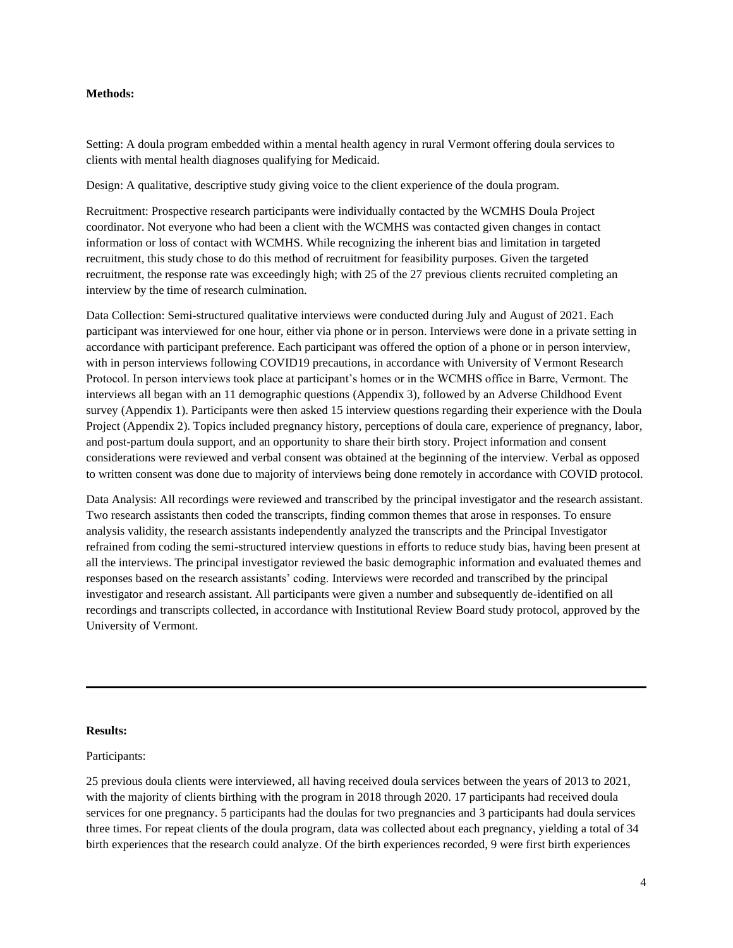## **Methods:**

Setting: A doula program embedded within a mental health agency in rural Vermont offering doula services to clients with mental health diagnoses qualifying for Medicaid.

Design: A qualitative, descriptive study giving voice to the client experience of the doula program.

Recruitment: Prospective research participants were individually contacted by the WCMHS Doula Project coordinator. Not everyone who had been a client with the WCMHS was contacted given changes in contact information or loss of contact with WCMHS. While recognizing the inherent bias and limitation in targeted recruitment, this study chose to do this method of recruitment for feasibility purposes. Given the targeted recruitment, the response rate was exceedingly high; with 25 of the 27 previous clients recruited completing an interview by the time of research culmination.

Data Collection: Semi-structured qualitative interviews were conducted during July and August of 2021. Each participant was interviewed for one hour, either via phone or in person. Interviews were done in a private setting in accordance with participant preference. Each participant was offered the option of a phone or in person interview, with in person interviews following COVID19 precautions, in accordance with University of Vermont Research Protocol. In person interviews took place at participant's homes or in the WCMHS office in Barre, Vermont. The interviews all began with an 11 demographic questions (Appendix 3), followed by an Adverse Childhood Event survey (Appendix 1). Participants were then asked 15 interview questions regarding their experience with the Doula Project (Appendix 2). Topics included pregnancy history, perceptions of doula care, experience of pregnancy, labor, and post-partum doula support, and an opportunity to share their birth story. Project information and consent considerations were reviewed and verbal consent was obtained at the beginning of the interview. Verbal as opposed to written consent was done due to majority of interviews being done remotely in accordance with COVID protocol.

Data Analysis: All recordings were reviewed and transcribed by the principal investigator and the research assistant. Two research assistants then coded the transcripts, finding common themes that arose in responses. To ensure analysis validity, the research assistants independently analyzed the transcripts and the Principal Investigator refrained from coding the semi-structured interview questions in efforts to reduce study bias, having been present at all the interviews. The principal investigator reviewed the basic demographic information and evaluated themes and responses based on the research assistants' coding. Interviews were recorded and transcribed by the principal investigator and research assistant. All participants were given a number and subsequently de-identified on all recordings and transcripts collected, in accordance with Institutional Review Board study protocol, approved by the University of Vermont.

# **Results:**

## Participants:

25 previous doula clients were interviewed, all having received doula services between the years of 2013 to 2021, with the majority of clients birthing with the program in 2018 through 2020. 17 participants had received doula services for one pregnancy. 5 participants had the doulas for two pregnancies and 3 participants had doula services three times. For repeat clients of the doula program, data was collected about each pregnancy, yielding a total of 34 birth experiences that the research could analyze. Of the birth experiences recorded, 9 were first birth experiences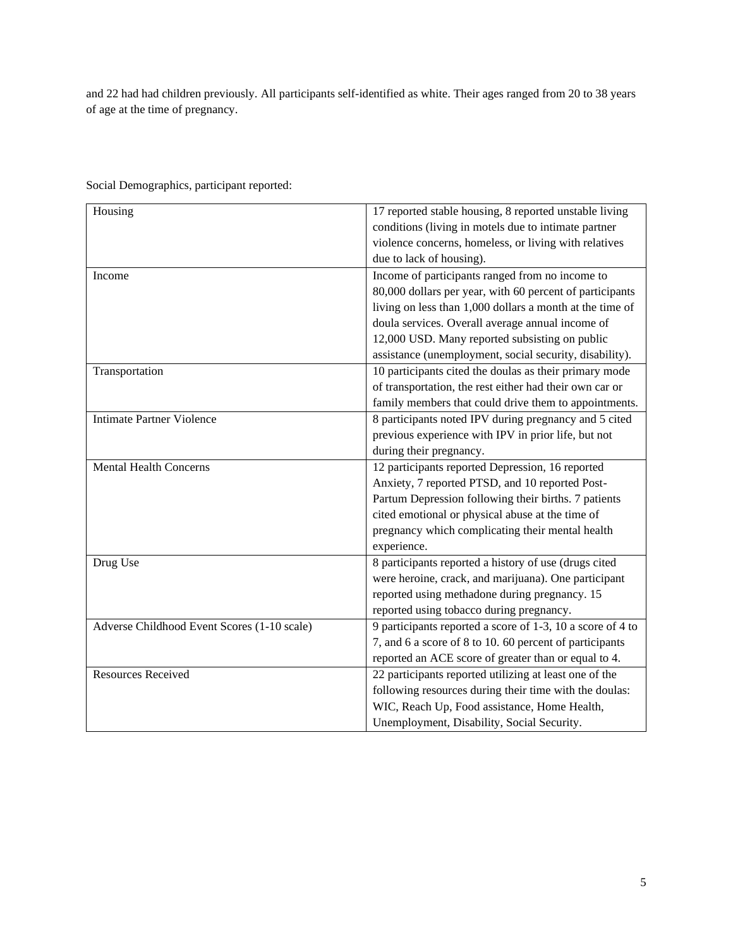and 22 had had children previously. All participants self-identified as white. Their ages ranged from 20 to 38 years of age at the time of pregnancy.

| Housing                                     | 17 reported stable housing, 8 reported unstable living     |
|---------------------------------------------|------------------------------------------------------------|
|                                             | conditions (living in motels due to intimate partner       |
|                                             | violence concerns, homeless, or living with relatives      |
|                                             | due to lack of housing).                                   |
| Income                                      | Income of participants ranged from no income to            |
|                                             | 80,000 dollars per year, with 60 percent of participants   |
|                                             | living on less than 1,000 dollars a month at the time of   |
|                                             | doula services. Overall average annual income of           |
|                                             | 12,000 USD. Many reported subsisting on public             |
|                                             | assistance (unemployment, social security, disability).    |
| Transportation                              | 10 participants cited the doulas as their primary mode     |
|                                             | of transportation, the rest either had their own car or    |
|                                             | family members that could drive them to appointments.      |
| <b>Intimate Partner Violence</b>            | 8 participants noted IPV during pregnancy and 5 cited      |
|                                             | previous experience with IPV in prior life, but not        |
|                                             | during their pregnancy.                                    |
| <b>Mental Health Concerns</b>               | 12 participants reported Depression, 16 reported           |
|                                             | Anxiety, 7 reported PTSD, and 10 reported Post-            |
|                                             | Partum Depression following their births. 7 patients       |
|                                             | cited emotional or physical abuse at the time of           |
|                                             | pregnancy which complicating their mental health           |
|                                             | experience.                                                |
| Drug Use                                    | 8 participants reported a history of use (drugs cited      |
|                                             | were heroine, crack, and marijuana). One participant       |
|                                             | reported using methadone during pregnancy. 15              |
|                                             | reported using tobacco during pregnancy.                   |
| Adverse Childhood Event Scores (1-10 scale) | 9 participants reported a score of 1-3, 10 a score of 4 to |
|                                             | 7, and 6 a score of 8 to 10. 60 percent of participants    |
|                                             | reported an ACE score of greater than or equal to 4.       |
| <b>Resources Received</b>                   | 22 participants reported utilizing at least one of the     |
|                                             | following resources during their time with the doulas:     |
|                                             | WIC, Reach Up, Food assistance, Home Health,               |
|                                             | Unemployment, Disability, Social Security.                 |

Social Demographics, participant reported: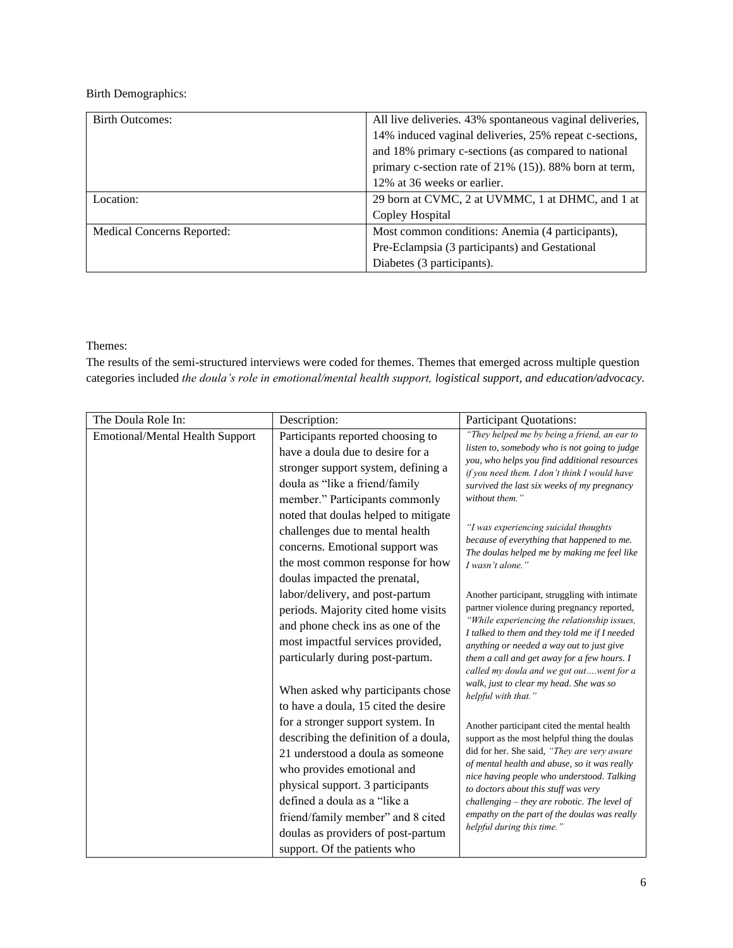# Birth Demographics:

| <b>Birth Outcomes:</b>     | All live deliveries. 43% spontaneous vaginal deliveries, |
|----------------------------|----------------------------------------------------------|
|                            | 14% induced vaginal deliveries, 25% repeat c-sections,   |
|                            | and 18% primary c-sections (as compared to national      |
|                            | primary c-section rate of 21% (15)). 88% born at term,   |
|                            | 12% at 36 weeks or earlier.                              |
| Location:                  | 29 born at CVMC, 2 at UVMMC, 1 at DHMC, and 1 at         |
|                            | Copley Hospital                                          |
| Medical Concerns Reported: | Most common conditions: Anemia (4 participants),         |
|                            | Pre-Eclampsia (3 participants) and Gestational           |
|                            | Diabetes (3 participants).                               |

# Themes:

The results of the semi-structured interviews were coded for themes. Themes that emerged across multiple question categories included *the doula's role in emotional/mental health support, logistical support, and education/advocacy.*

| The Doula Role In:              | Description:                                                                                                                                                                                              | Participant Quotations:                                                                                                                                                                                                                                                                                                                                                          |
|---------------------------------|-----------------------------------------------------------------------------------------------------------------------------------------------------------------------------------------------------------|----------------------------------------------------------------------------------------------------------------------------------------------------------------------------------------------------------------------------------------------------------------------------------------------------------------------------------------------------------------------------------|
| Emotional/Mental Health Support | Participants reported choosing to<br>have a doula due to desire for a<br>stronger support system, defining a<br>doula as "like a friend/family<br>member." Participants commonly                          | "They helped me by being a friend, an ear to<br>listen to, somebody who is not going to judge<br>you, who helps you find additional resources<br>if you need them. I don't think I would have<br>survived the last six weeks of my pregnancy<br>without them."                                                                                                                   |
|                                 | noted that doulas helped to mitigate<br>challenges due to mental health<br>concerns. Emotional support was<br>the most common response for how<br>doulas impacted the prenatal,                           | "I was experiencing suicidal thoughts<br>because of everything that happened to me.<br>The doulas helped me by making me feel like<br>I wasn't alone."                                                                                                                                                                                                                           |
|                                 | labor/delivery, and post-partum<br>periods. Majority cited home visits<br>and phone check ins as one of the<br>most impactful services provided,<br>particularly during post-partum.                      | Another participant, struggling with intimate<br>partner violence during pregnancy reported,<br>"While experiencing the relationship issues,<br>I talked to them and they told me if I needed<br>anything or needed a way out to just give<br>them a call and get away for a few hours. I<br>called my doula and we got outwent for a<br>walk, just to clear my head. She was so |
|                                 | When asked why participants chose<br>to have a doula, 15 cited the desire<br>for a stronger support system. In<br>describing the definition of a doula,<br>21 understood a doula as someone               | helpful with that."<br>Another participant cited the mental health<br>support as the most helpful thing the doulas<br>did for her. She said, "They are very aware<br>of mental health and abuse, so it was really                                                                                                                                                                |
|                                 | who provides emotional and<br>physical support. 3 participants<br>defined a doula as a "like a<br>friend/family member" and 8 cited<br>doulas as providers of post-partum<br>support. Of the patients who | nice having people who understood. Talking<br>to doctors about this stuff was very<br>$challenging - they are robotic. The level of$<br>empathy on the part of the doulas was really<br>helpful during this time."                                                                                                                                                               |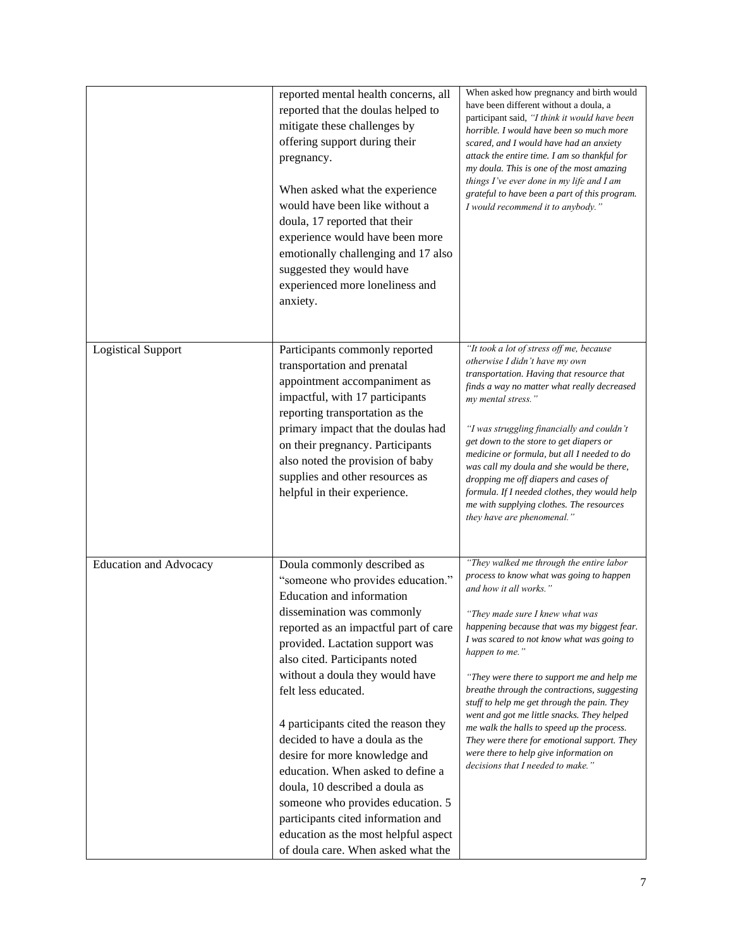|                               | reported mental health concerns, all<br>reported that the doulas helped to<br>mitigate these challenges by<br>offering support during their<br>pregnancy.<br>When asked what the experience<br>would have been like without a<br>doula, 17 reported that their<br>experience would have been more<br>emotionally challenging and 17 also<br>suggested they would have<br>experienced more loneliness and<br>anxiety.                                                                                                                                                                                                                           | When asked how pregnancy and birth would<br>have been different without a doula, a<br>participant said, "I think it would have been<br>horrible. I would have been so much more<br>scared, and I would have had an anxiety<br>attack the entire time. I am so thankful for<br>my doula. This is one of the most amazing<br>things I've ever done in my life and I am<br>grateful to have been a part of this program.<br>I would recommend it to anybody."                                                                                                                                                                              |
|-------------------------------|------------------------------------------------------------------------------------------------------------------------------------------------------------------------------------------------------------------------------------------------------------------------------------------------------------------------------------------------------------------------------------------------------------------------------------------------------------------------------------------------------------------------------------------------------------------------------------------------------------------------------------------------|-----------------------------------------------------------------------------------------------------------------------------------------------------------------------------------------------------------------------------------------------------------------------------------------------------------------------------------------------------------------------------------------------------------------------------------------------------------------------------------------------------------------------------------------------------------------------------------------------------------------------------------------|
| <b>Logistical Support</b>     | Participants commonly reported<br>transportation and prenatal<br>appointment accompaniment as<br>impactful, with 17 participants<br>reporting transportation as the<br>primary impact that the doulas had<br>on their pregnancy. Participants<br>also noted the provision of baby<br>supplies and other resources as<br>helpful in their experience.                                                                                                                                                                                                                                                                                           | "It took a lot of stress off me, because<br>otherwise I didn't have my own<br>transportation. Having that resource that<br>finds a way no matter what really decreased<br>my mental stress."<br>"I was struggling financially and couldn't<br>get down to the store to get diapers or<br>medicine or formula, but all I needed to do<br>was call my doula and she would be there,<br>dropping me off diapers and cases of<br>formula. If I needed clothes, they would help<br>me with supplying clothes. The resources<br>they have are phenomenal."                                                                                    |
| <b>Education and Advocacy</b> | Doula commonly described as<br>"someone who provides education."<br>Education and information<br>dissemination was commonly<br>reported as an impactful part of care<br>provided. Lactation support was<br>also cited. Participants noted<br>without a doula they would have<br>felt less educated.<br>4 participants cited the reason they<br>decided to have a doula as the<br>desire for more knowledge and<br>education. When asked to define a<br>doula, 10 described a doula as<br>someone who provides education. 5<br>participants cited information and<br>education as the most helpful aspect<br>of doula care. When asked what the | "They walked me through the entire labor<br>process to know what was going to happen<br>and how it all works."<br>"They made sure I knew what was<br>happening because that was my biggest fear.<br>I was scared to not know what was going to<br>happen to me."<br>"They were there to support me and help me<br>breathe through the contractions, suggesting<br>stuff to help me get through the pain. They<br>went and got me little snacks. They helped<br>me walk the halls to speed up the process.<br>They were there for emotional support. They<br>were there to help give information on<br>decisions that I needed to make." |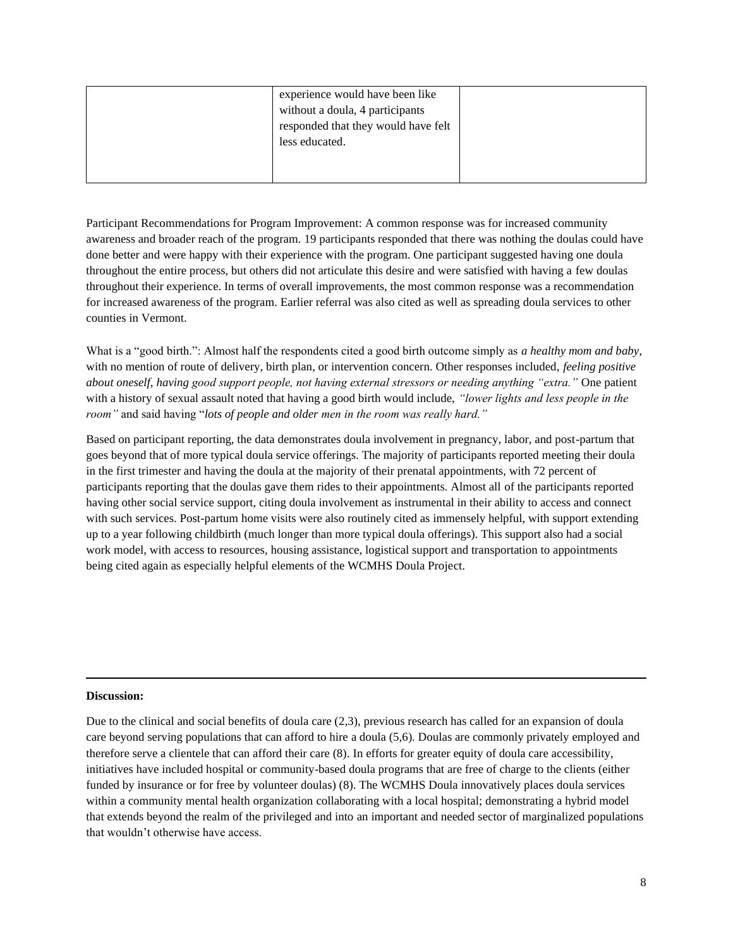| experience would have been like     |  |
|-------------------------------------|--|
| without a doula, 4 participants     |  |
| responded that they would have felt |  |
| less educated.                      |  |
|                                     |  |
|                                     |  |

Participant Recommendations for Program Improvement: A common response was for increased community awareness and broader reach of the program. 19 participants responded that there was nothing the doulas could have done better and were happy with their experience with the program. One participant suggested having one doula throughout the entire process, but others did not articulate this desire and were satisfied with having a few doulas throughout their experience. In terms of overall improvements, the most common response was a recommendation for increased awareness of the program. Earlier referral was also cited as well as spreading doula services to other counties in Vermont.

What is a "good birth.": Almost half the respondents cited a good birth outcome simply as *a healthy mom and baby*, with no mention of route of delivery, birth plan, or intervention concern. Other responses included, *feeling positive about oneself*, *having good support people, not having external stressors or needing anything "extra."* One patient with a history of sexual assault noted that having a good birth would include, *"lower lights and less people in the room"* and said having "*lots of people and older men in the room was really hard."*

Based on participant reporting, the data demonstrates doula involvement in pregnancy, labor, and post-partum that goes beyond that of more typical doula service offerings. The majority of participants reported meeting their doula in the first trimester and having the doula at the majority of their prenatal appointments, with 72 percent of participants reporting that the doulas gave them rides to their appointments. Almost all of the participants reported having other social service support, citing doula involvement as instrumental in their ability to access and connect with such services. Post-partum home visits were also routinely cited as immensely helpful, with support extending up to a year following childbirth (much longer than more typical doula offerings). This support also had a social work model, with access to resources, housing assistance, logistical support and transportation to appointments being cited again as especially helpful elements of the WCMHS Doula Project.

# **Discussion:**

Due to the clinical and social benefits of doula care (2,3), previous research has called for an expansion of doula care beyond serving populations that can afford to hire a doula (5,6). Doulas are commonly privately employed and therefore serve a clientele that can afford their care (8). In efforts for greater equity of doula care accessibility, initiatives have included hospital or community-based doula programs that are free of charge to the clients (either funded by insurance or for free by volunteer doulas) (8). The WCMHS Doula innovatively places doula services within a community mental health organization collaborating with a local hospital; demonstrating a hybrid model that extends beyond the realm of the privileged and into an important and needed sector of marginalized populations that wouldn't otherwise have access.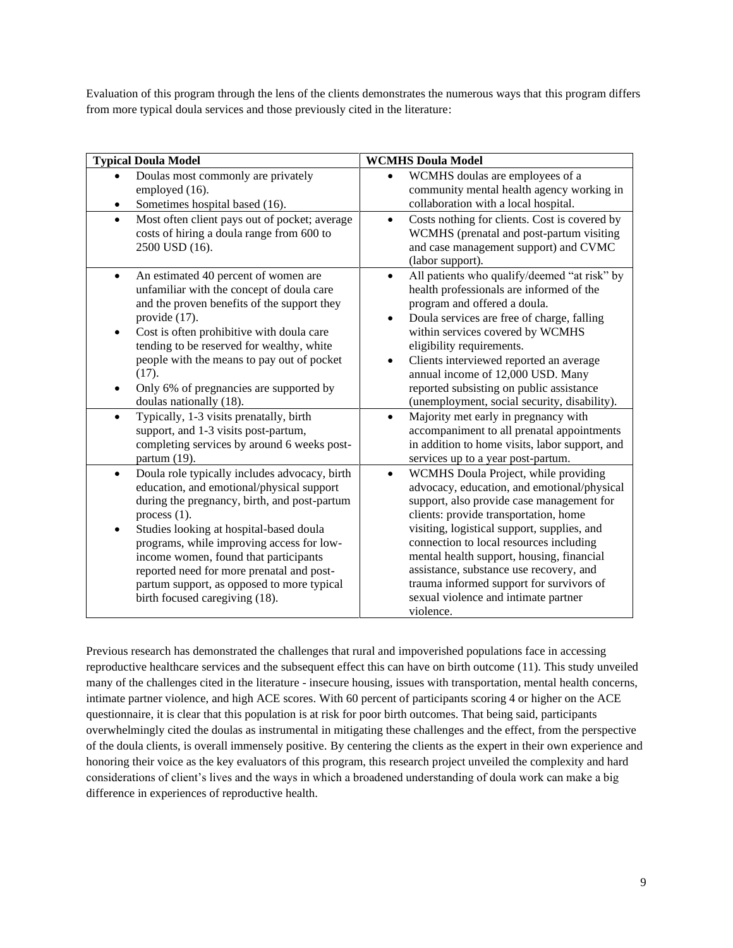Evaluation of this program through the lens of the clients demonstrates the numerous ways that this program differs from more typical doula services and those previously cited in the literature:

| <b>Typical Doula Model</b>                                                                                                                                                                                                                                                                                                                                                                                                                                               | <b>WCMHS Doula Model</b>                                                                                                                                                                                                                                                                                                                                                                                                                                                                                                            |
|--------------------------------------------------------------------------------------------------------------------------------------------------------------------------------------------------------------------------------------------------------------------------------------------------------------------------------------------------------------------------------------------------------------------------------------------------------------------------|-------------------------------------------------------------------------------------------------------------------------------------------------------------------------------------------------------------------------------------------------------------------------------------------------------------------------------------------------------------------------------------------------------------------------------------------------------------------------------------------------------------------------------------|
| Doulas most commonly are privately<br>employed (16).<br>Sometimes hospital based (16).                                                                                                                                                                                                                                                                                                                                                                                   | WCMHS doulas are employees of a<br>$\bullet$<br>community mental health agency working in<br>collaboration with a local hospital.                                                                                                                                                                                                                                                                                                                                                                                                   |
| Most often client pays out of pocket; average<br>$\bullet$<br>costs of hiring a doula range from 600 to<br>2500 USD (16).                                                                                                                                                                                                                                                                                                                                                | Costs nothing for clients. Cost is covered by<br>$\bullet$<br>WCMHS (prenatal and post-partum visiting<br>and case management support) and CVMC<br>(labor support).                                                                                                                                                                                                                                                                                                                                                                 |
| An estimated 40 percent of women are<br>unfamiliar with the concept of doula care<br>and the proven benefits of the support they<br>provide (17).<br>Cost is often prohibitive with doula care<br>tending to be reserved for wealthy, white<br>people with the means to pay out of pocket<br>(17).<br>Only 6% of pregnancies are supported by<br>doulas nationally (18).<br>Typically, 1-3 visits prenatally, birth<br>$\bullet$<br>support, and 1-3 visits post-partum, | All patients who qualify/deemed "at risk" by<br>$\bullet$<br>health professionals are informed of the<br>program and offered a doula.<br>Doula services are free of charge, falling<br>within services covered by WCMHS<br>eligibility requirements.<br>Clients interviewed reported an average<br>annual income of 12,000 USD. Many<br>reported subsisting on public assistance<br>(unemployment, social security, disability).<br>Majority met early in pregnancy with<br>$\bullet$<br>accompaniment to all prenatal appointments |
| completing services by around 6 weeks post-<br>partum (19).                                                                                                                                                                                                                                                                                                                                                                                                              | in addition to home visits, labor support, and<br>services up to a year post-partum.                                                                                                                                                                                                                                                                                                                                                                                                                                                |
| Doula role typically includes advocacy, birth<br>$\bullet$<br>education, and emotional/physical support<br>during the pregnancy, birth, and post-partum<br>process $(1)$ .<br>Studies looking at hospital-based doula<br>programs, while improving access for low-<br>income women, found that participants<br>reported need for more prenatal and post-<br>partum support, as opposed to more typical<br>birth focused caregiving (18).                                 | WCMHS Doula Project, while providing<br>$\bullet$<br>advocacy, education, and emotional/physical<br>support, also provide case management for<br>clients: provide transportation, home<br>visiting, logistical support, supplies, and<br>connection to local resources including<br>mental health support, housing, financial<br>assistance, substance use recovery, and<br>trauma informed support for survivors of<br>sexual violence and intimate partner<br>violence.                                                           |

Previous research has demonstrated the challenges that rural and impoverished populations face in accessing reproductive healthcare services and the subsequent effect this can have on birth outcome (11). This study unveiled many of the challenges cited in the literature - insecure housing, issues with transportation, mental health concerns, intimate partner violence, and high ACE scores. With 60 percent of participants scoring 4 or higher on the ACE questionnaire, it is clear that this population is at risk for poor birth outcomes. That being said, participants overwhelmingly cited the doulas as instrumental in mitigating these challenges and the effect, from the perspective of the doula clients, is overall immensely positive. By centering the clients as the expert in their own experience and honoring their voice as the key evaluators of this program, this research project unveiled the complexity and hard considerations of client's lives and the ways in which a broadened understanding of doula work can make a big difference in experiences of reproductive health.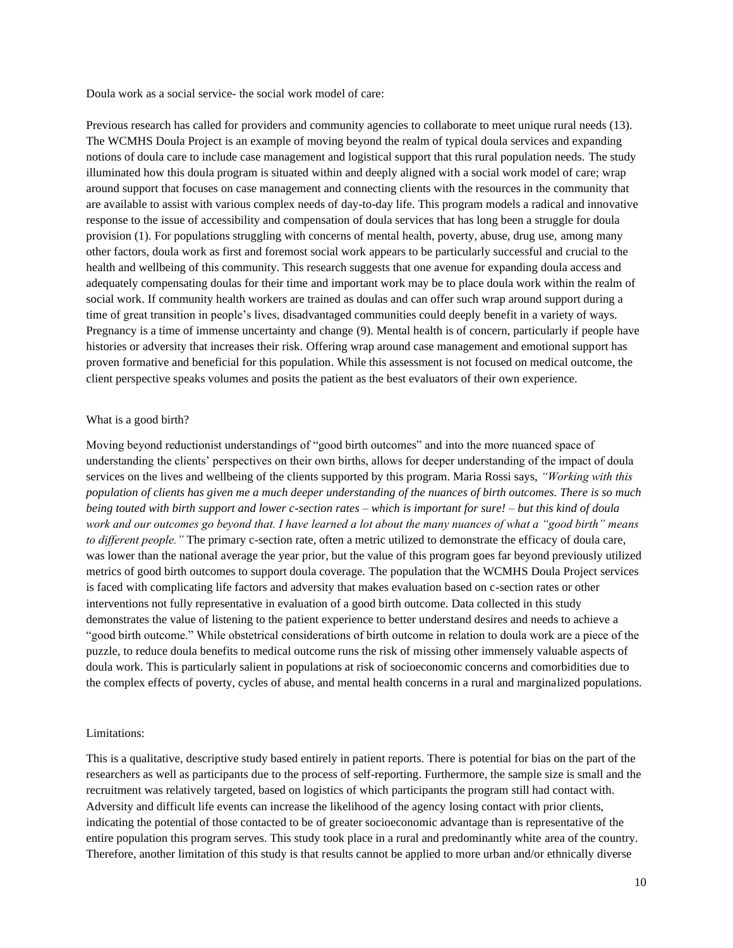Doula work as a social service- the social work model of care:

Previous research has called for providers and community agencies to collaborate to meet unique rural needs (13). The WCMHS Doula Project is an example of moving beyond the realm of typical doula services and expanding notions of doula care to include case management and logistical support that this rural population needs. The study illuminated how this doula program is situated within and deeply aligned with a social work model of care; wrap around support that focuses on case management and connecting clients with the resources in the community that are available to assist with various complex needs of day-to-day life. This program models a radical and innovative response to the issue of accessibility and compensation of doula services that has long been a struggle for doula provision (1). For populations struggling with concerns of mental health, poverty, abuse, drug use, among many other factors, doula work as first and foremost social work appears to be particularly successful and crucial to the health and wellbeing of this community. This research suggests that one avenue for expanding doula access and adequately compensating doulas for their time and important work may be to place doula work within the realm of social work. If community health workers are trained as doulas and can offer such wrap around support during a time of great transition in people's lives, disadvantaged communities could deeply benefit in a variety of ways. Pregnancy is a time of immense uncertainty and change (9). Mental health is of concern, particularly if people have histories or adversity that increases their risk. Offering wrap around case management and emotional support has proven formative and beneficial for this population. While this assessment is not focused on medical outcome, the client perspective speaks volumes and posits the patient as the best evaluators of their own experience.

#### What is a good birth?

Moving beyond reductionist understandings of "good birth outcomes" and into the more nuanced space of understanding the clients' perspectives on their own births, allows for deeper understanding of the impact of doula services on the lives and wellbeing of the clients supported by this program. Maria Rossi says, *"Working with this population of clients has given me a much deeper understanding of the nuances of birth outcomes. There is so much being touted with birth support and lower c-section rates – which is important for sure! – but this kind of doula work and our outcomes go beyond that. I have learned a lot about the many nuances of what a "good birth" means to different people.*" The primary c-section rate, often a metric utilized to demonstrate the efficacy of doula care, was lower than the national average the year prior, but the value of this program goes far beyond previously utilized metrics of good birth outcomes to support doula coverage. The population that the WCMHS Doula Project services is faced with complicating life factors and adversity that makes evaluation based on c-section rates or other interventions not fully representative in evaluation of a good birth outcome. Data collected in this study demonstrates the value of listening to the patient experience to better understand desires and needs to achieve a "good birth outcome." While obstetrical considerations of birth outcome in relation to doula work are a piece of the puzzle, to reduce doula benefits to medical outcome runs the risk of missing other immensely valuable aspects of doula work. This is particularly salient in populations at risk of socioeconomic concerns and comorbidities due to the complex effects of poverty, cycles of abuse, and mental health concerns in a rural and marginalized populations.

#### Limitations:

This is a qualitative, descriptive study based entirely in patient reports. There is potential for bias on the part of the researchers as well as participants due to the process of self-reporting. Furthermore, the sample size is small and the recruitment was relatively targeted, based on logistics of which participants the program still had contact with. Adversity and difficult life events can increase the likelihood of the agency losing contact with prior clients, indicating the potential of those contacted to be of greater socioeconomic advantage than is representative of the entire population this program serves. This study took place in a rural and predominantly white area of the country. Therefore, another limitation of this study is that results cannot be applied to more urban and/or ethnically diverse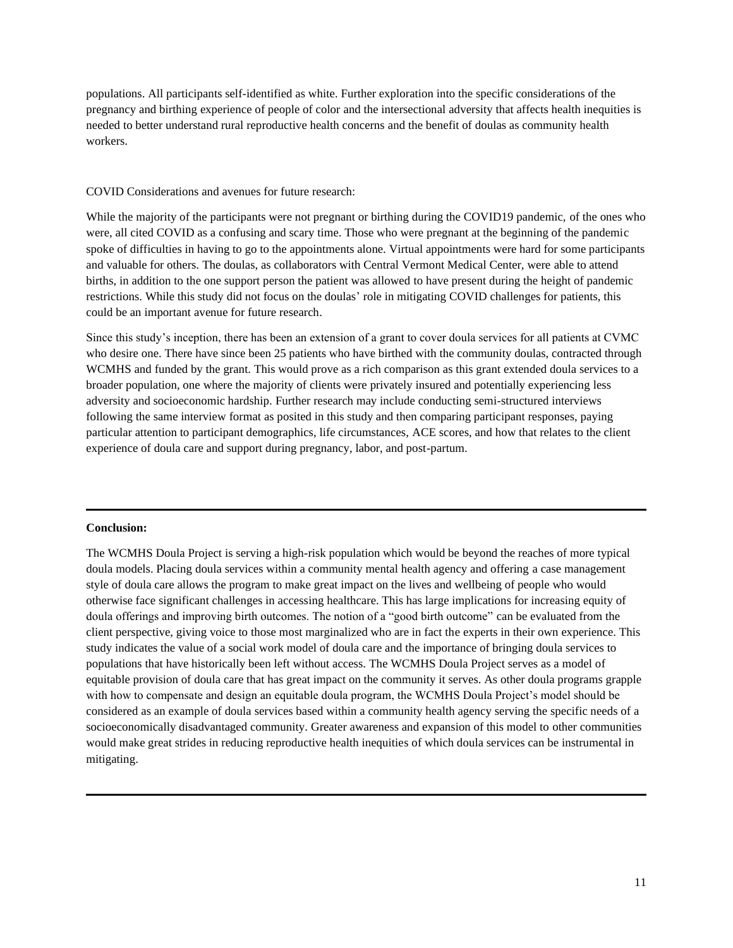populations. All participants self-identified as white. Further exploration into the specific considerations of the pregnancy and birthing experience of people of color and the intersectional adversity that affects health inequities is needed to better understand rural reproductive health concerns and the benefit of doulas as community health workers.

### COVID Considerations and avenues for future research:

While the majority of the participants were not pregnant or birthing during the COVID19 pandemic, of the ones who were, all cited COVID as a confusing and scary time. Those who were pregnant at the beginning of the pandemic spoke of difficulties in having to go to the appointments alone. Virtual appointments were hard for some participants and valuable for others. The doulas, as collaborators with Central Vermont Medical Center, were able to attend births, in addition to the one support person the patient was allowed to have present during the height of pandemic restrictions. While this study did not focus on the doulas' role in mitigating COVID challenges for patients, this could be an important avenue for future research.

Since this study's inception, there has been an extension of a grant to cover doula services for all patients at CVMC who desire one. There have since been 25 patients who have birthed with the community doulas, contracted through WCMHS and funded by the grant. This would prove as a rich comparison as this grant extended doula services to a broader population, one where the majority of clients were privately insured and potentially experiencing less adversity and socioeconomic hardship. Further research may include conducting semi-structured interviews following the same interview format as posited in this study and then comparing participant responses, paying particular attention to participant demographics, life circumstances, ACE scores, and how that relates to the client experience of doula care and support during pregnancy, labor, and post-partum.

#### **Conclusion:**

The WCMHS Doula Project is serving a high-risk population which would be beyond the reaches of more typical doula models. Placing doula services within a community mental health agency and offering a case management style of doula care allows the program to make great impact on the lives and wellbeing of people who would otherwise face significant challenges in accessing healthcare. This has large implications for increasing equity of doula offerings and improving birth outcomes. The notion of a "good birth outcome" can be evaluated from the client perspective, giving voice to those most marginalized who are in fact the experts in their own experience. This study indicates the value of a social work model of doula care and the importance of bringing doula services to populations that have historically been left without access. The WCMHS Doula Project serves as a model of equitable provision of doula care that has great impact on the community it serves. As other doula programs grapple with how to compensate and design an equitable doula program, the WCMHS Doula Project's model should be considered as an example of doula services based within a community health agency serving the specific needs of a socioeconomically disadvantaged community. Greater awareness and expansion of this model to other communities would make great strides in reducing reproductive health inequities of which doula services can be instrumental in mitigating.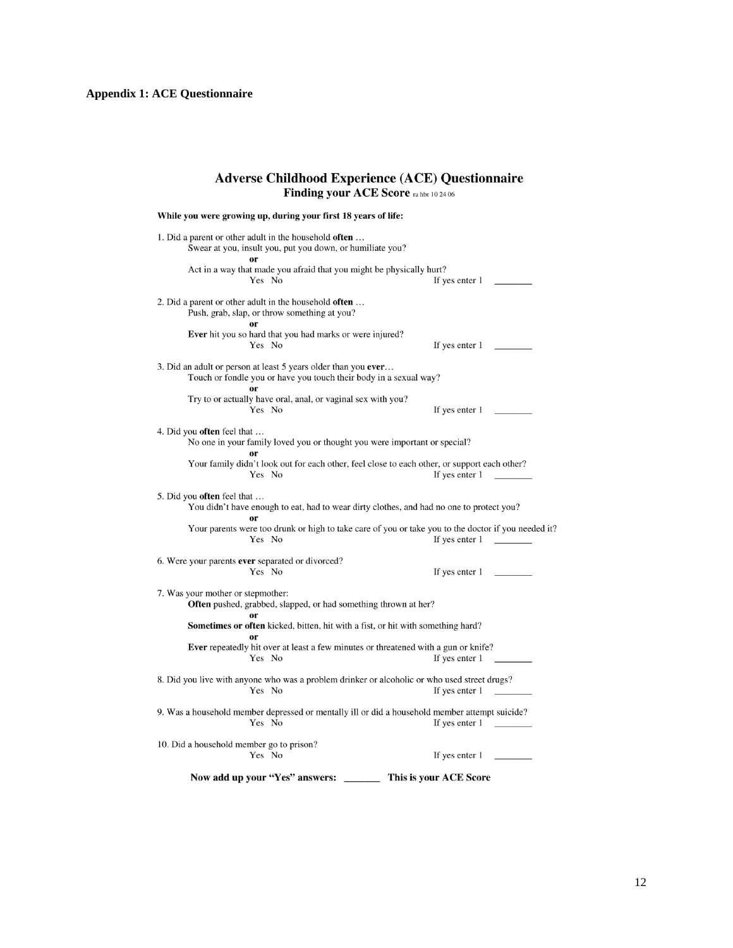# **Adverse Childhood Experience (ACE) Questionnaire**<br>Finding your ACE Score  $_{\text{ra\,hot 10\,24\,06}}$

| While you were growing up, during your first 18 years of life:                                                                                              |
|-------------------------------------------------------------------------------------------------------------------------------------------------------------|
| 1. Did a parent or other adult in the household <b>often</b><br>Swear at you, insult you, put you down, or humiliate you?                                   |
| Act in a way that made you afraid that you might be physically hurt?<br>Yes No<br>If yes enter 1                                                            |
| 2. Did a parent or other adult in the household <b>often</b><br>Push, grab, slap, or throw something at you?                                                |
| <b>Ever</b> hit you so hard that you had marks or were injured?<br>Yes No<br>If yes enter 1                                                                 |
| 3. Did an adult or person at least 5 years older than you ever<br>Touch or fondle you or have you touch their body in a sexual way?                         |
| Try to or actually have oral, anal, or vaginal sex with you?<br>Yes No<br>If yes enter $1 \quad \underline{\hspace{1cm}}$                                   |
| 4. Did you <b>often</b> feel that<br>No one in your family loved you or thought you were important or special?                                              |
| Your family didn't look out for each other, feel close to each other, or support each other?<br>Yes No<br>If yes enter 1                                    |
| 5. Did you <b>often</b> feel that<br>You didn't have enough to eat, had to wear dirty clothes, and had no one to protect you?                               |
| Your parents were too drunk or high to take care of you or take you to the doctor if you needed it?<br>Yes No<br>If yes enter 1<br><b>Contract Contract</b> |
| 6. Were your parents ever separated or divorced?<br>Yes No<br>If yes enter $1$                                                                              |
| 7. Was your mother or stepmother:<br><b>Often</b> pushed, grabbed, slapped, or had something thrown at her?                                                 |
| Sometimes or often kicked, bitten, hit with a fist, or hit with something hard?                                                                             |
| Ever repeatedly hit over at least a few minutes or threatened with a gun or knife?<br>Yes No<br>If yes enter 1                                              |
| 8. Did you live with anyone who was a problem drinker or alcoholic or who used street drugs?<br>Yes No<br>If yes enter 1                                    |
| 9. Was a household member depressed or mentally ill or did a household member attempt suicide?<br>Yes No<br>If yes enter 1                                  |
| 10. Did a household member go to prison?<br>Yes No<br>If yes enter 1                                                                                        |
| Now add up your "Yes" answers:<br>This is your ACE Score                                                                                                    |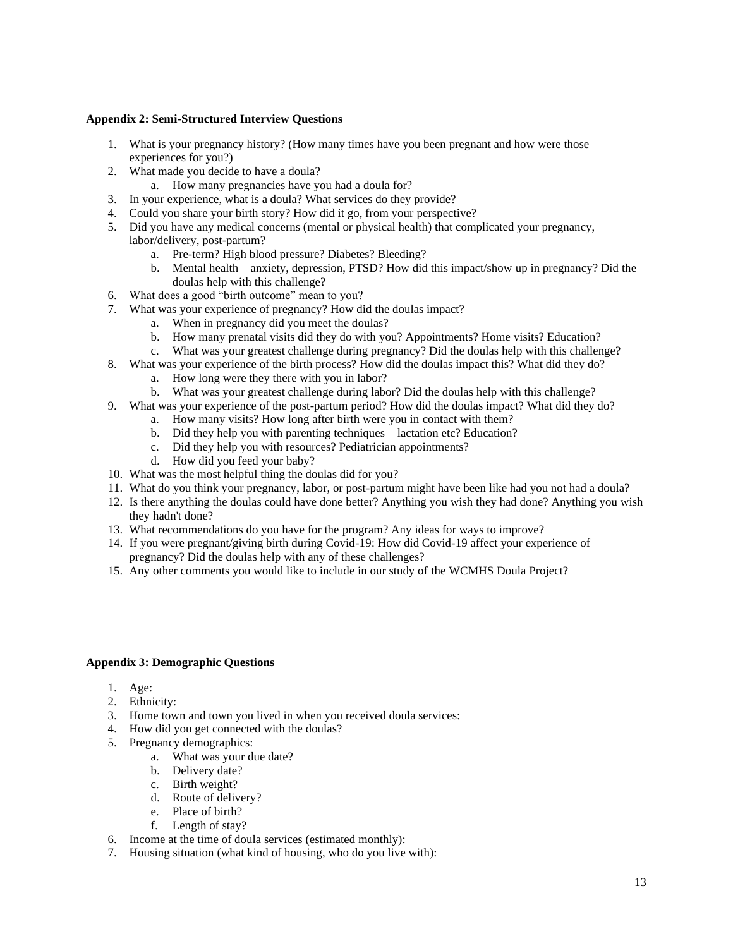# **Appendix 2: Semi-Structured Interview Questions**

- 1. What is your pregnancy history? (How many times have you been pregnant and how were those experiences for you?)
- 2. What made you decide to have a doula?
	- a. How many pregnancies have you had a doula for?
- 3. In your experience, what is a doula? What services do they provide?
- 4. Could you share your birth story? How did it go, from your perspective?
- 5. Did you have any medical concerns (mental or physical health) that complicated your pregnancy,
	- labor/delivery, post-partum?
		- a. Pre-term? High blood pressure? Diabetes? Bleeding?
		- b. Mental health anxiety, depression, PTSD? How did this impact/show up in pregnancy? Did the doulas help with this challenge?
- 6. What does a good "birth outcome" mean to you?
- 7. What was your experience of pregnancy? How did the doulas impact?
	- a. When in pregnancy did you meet the doulas?
	- b. How many prenatal visits did they do with you? Appointments? Home visits? Education?
	- c. What was your greatest challenge during pregnancy? Did the doulas help with this challenge?
- 8. What was your experience of the birth process? How did the doulas impact this? What did they do?
	- a. How long were they there with you in labor?
	- b. What was your greatest challenge during labor? Did the doulas help with this challenge?
- 9. What was your experience of the post-partum period? How did the doulas impact? What did they do?
	- a. How many visits? How long after birth were you in contact with them?
	- b. Did they help you with parenting techniques lactation etc? Education?
	- c. Did they help you with resources? Pediatrician appointments?
	- d. How did you feed your baby?
- 10. What was the most helpful thing the doulas did for you?
- 11. What do you think your pregnancy, labor, or post-partum might have been like had you not had a doula?
- 12. Is there anything the doulas could have done better? Anything you wish they had done? Anything you wish they hadn't done?
- 13. What recommendations do you have for the program? Any ideas for ways to improve?
- 14. If you were pregnant/giving birth during Covid-19: How did Covid-19 affect your experience of pregnancy? Did the doulas help with any of these challenges?
- 15. Any other comments you would like to include in our study of the WCMHS Doula Project?

# **Appendix 3: Demographic Questions**

- 1. Age:
- 2. Ethnicity:
- 3. Home town and town you lived in when you received doula services:
- 4. How did you get connected with the doulas?
- 5. Pregnancy demographics:
	- a. What was your due date?
	- b. Delivery date?
	- c. Birth weight?
	- d. Route of delivery?
	- e. Place of birth?
	- f. Length of stay?
- 6. Income at the time of doula services (estimated monthly):
- 7. Housing situation (what kind of housing, who do you live with):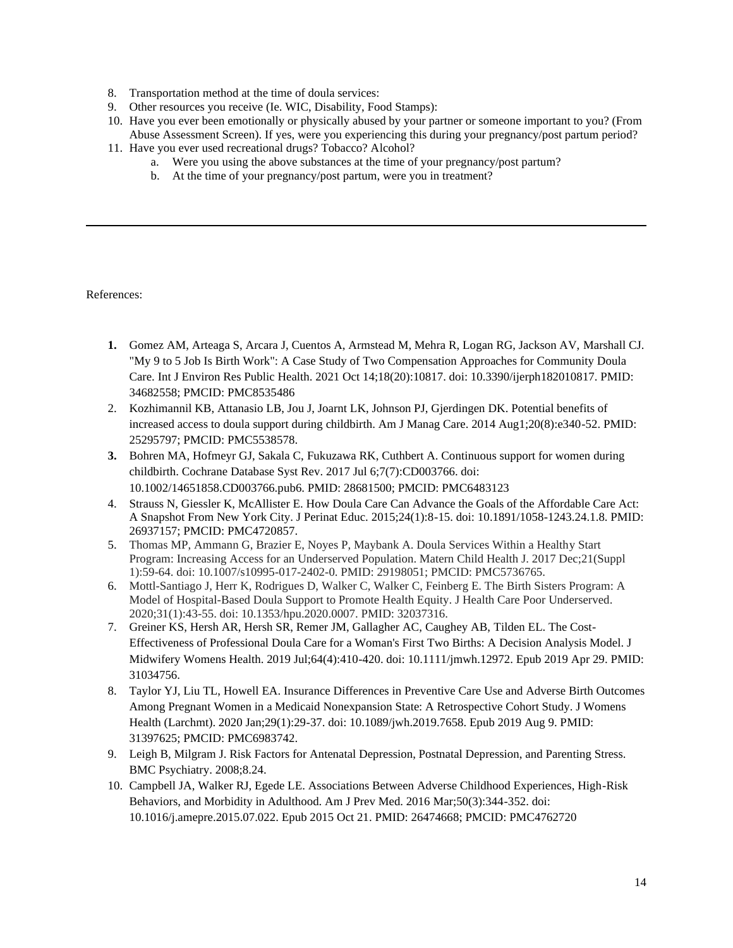- 8. Transportation method at the time of doula services:
- 9. Other resources you receive (Ie. WIC, Disability, Food Stamps):
- 10. Have you ever been emotionally or physically abused by your partner or someone important to you? (From Abuse Assessment Screen). If yes, were you experiencing this during your pregnancy/post partum period?
- 11. Have you ever used recreational drugs? Tobacco? Alcohol?
	- a. Were you using the above substances at the time of your pregnancy/post partum?
	- b. At the time of your pregnancy/post partum, were you in treatment?

References:

- **1.** Gomez AM, Arteaga S, Arcara J, Cuentos A, Armstead M, Mehra R, Logan RG, Jackson AV, Marshall CJ. "My 9 to 5 Job Is Birth Work": A Case Study of Two Compensation Approaches for Community Doula Care. Int J Environ Res Public Health. 2021 Oct 14;18(20):10817. doi: 10.3390/ijerph182010817. PMID: 34682558; PMCID: PMC8535486
- 2. Kozhimannil KB, Attanasio LB, Jou J, Joarnt LK, Johnson PJ, Gjerdingen DK. Potential benefits of increased access to doula support during childbirth. Am J Manag Care. 2014 Aug1;20(8):e340-52. PMID: 25295797; PMCID: PMC5538578.
- **3.** Bohren MA, Hofmeyr GJ, Sakala C, Fukuzawa RK, Cuthbert A. Continuous support for women during childbirth. Cochrane Database Syst Rev. 2017 Jul 6;7(7):CD003766. doi: 10.1002/14651858.CD003766.pub6. PMID: 28681500; PMCID: PMC6483123
- 4. Strauss N, Giessler K, McAllister E. How Doula Care Can Advance the Goals of the Affordable Care Act: A Snapshot From New York City. J Perinat Educ. 2015;24(1):8-15. doi: 10.1891/1058-1243.24.1.8. PMID: 26937157; PMCID: PMC4720857.
- 5. Thomas MP, Ammann G, Brazier E, Noyes P, Maybank A. Doula Services Within a Healthy Start Program: Increasing Access for an Underserved Population. Matern Child Health J. 2017 Dec;21(Suppl 1):59-64. doi: 10.1007/s10995-017-2402-0. PMID: 29198051; PMCID: PMC5736765.
- 6. Mottl-Santiago J, Herr K, Rodrigues D, Walker C, Walker C, Feinberg E. The Birth Sisters Program: A Model of Hospital-Based Doula Support to Promote Health Equity. J Health Care Poor Underserved. 2020;31(1):43-55. doi: 10.1353/hpu.2020.0007. PMID: 32037316.
- 7. Greiner KS, Hersh AR, Hersh SR, Remer JM, Gallagher AC, Caughey AB, Tilden EL. The Cost-Effectiveness of Professional Doula Care for a Woman's First Two Births: A Decision Analysis Model. J Midwifery Womens Health. 2019 Jul;64(4):410-420. doi: 10.1111/jmwh.12972. Epub 2019 Apr 29. PMID: 31034756.
- 8. Taylor YJ, Liu TL, Howell EA. Insurance Differences in Preventive Care Use and Adverse Birth Outcomes Among Pregnant Women in a Medicaid Nonexpansion State: A Retrospective Cohort Study. J Womens Health (Larchmt). 2020 Jan;29(1):29-37. doi: 10.1089/jwh.2019.7658. Epub 2019 Aug 9. PMID: 31397625; PMCID: PMC6983742.
- 9. Leigh B, Milgram J. Risk Factors for Antenatal Depression, Postnatal Depression, and Parenting Stress. BMC Psychiatry. 2008;8.24.
- 10. Campbell JA, Walker RJ, Egede LE. Associations Between Adverse Childhood Experiences, High-Risk Behaviors, and Morbidity in Adulthood. Am J Prev Med. 2016 Mar;50(3):344-352. doi: 10.1016/j.amepre.2015.07.022. Epub 2015 Oct 21. PMID: 26474668; PMCID: PMC4762720